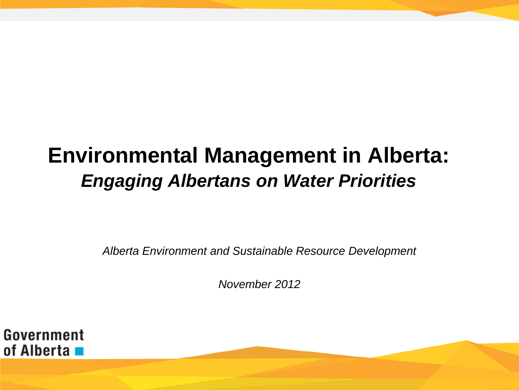#### **Environmental Management in Alberta:** *Engaging Albertans on Water Priorities*

*Alberta Environment and Sustainable Resource Development*

*November 2012*

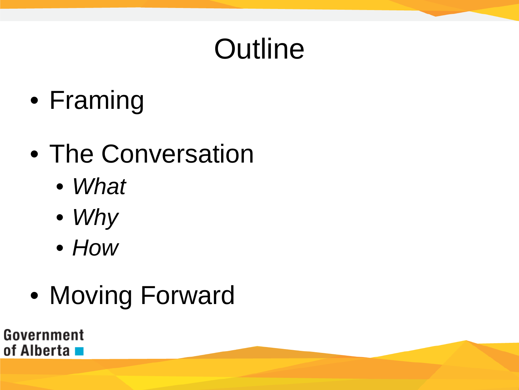# **Outline**

• Framing

#### • The Conversation

- *What*
- *Why*
- *How*
- Moving Forward

Government of Alberta ■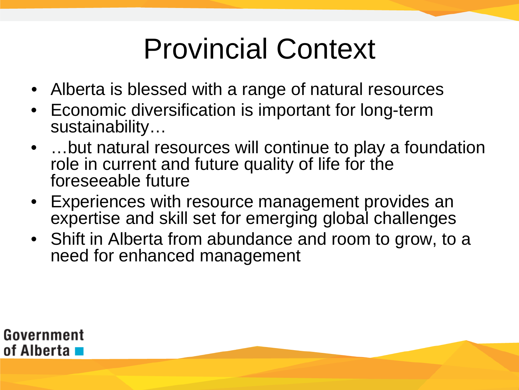# Provincial Context

- Alberta is blessed with a range of natural resources
- Economic diversification is important for long-term sustainability…
- ...but natural resources will continue to play a foundation role in current and future quality of life for the foreseeable future
- Experiences with resource management provides an expertise and skill set for emerging global challenges
- Shift in Alberta from abundance and room to grow, to a need for enhanced management

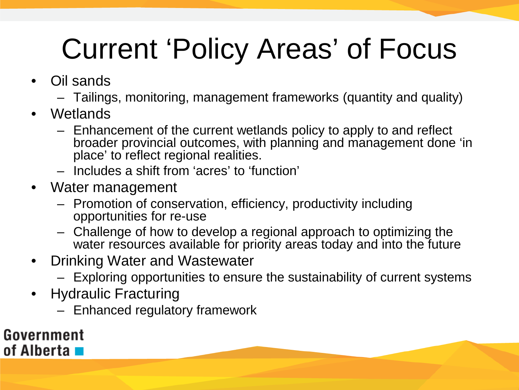# Current 'Policy Areas' of Focus

- Oil sands
	- Tailings, monitoring, management frameworks (quantity and quality)
- Wetlands
	- Enhancement of the current wetlands policy to apply to and reflect broader provincial outcomes, with planning and management done 'in place' to reflect regional realities.
	- Includes a shift from 'acres' to 'function'
- Water management
	- Promotion of conservation, efficiency, productivity including opportunities for re-use
	- Challenge of how to develop a regional approach to optimizing the water resources available for priority areas today and into the future
- Drinking Water and Wastewater
	- Exploring opportunities to ensure the sustainability of current systems
- Hydraulic Fracturing
	- Enhanced regulatory framework

#### Government of Alberta **La**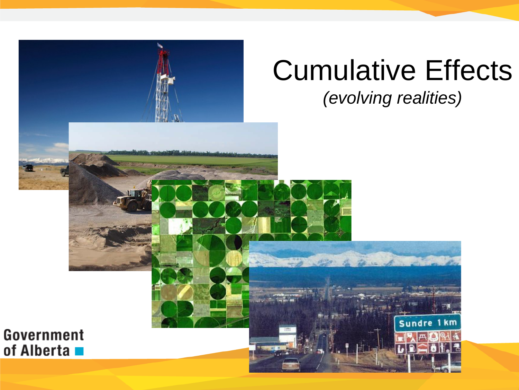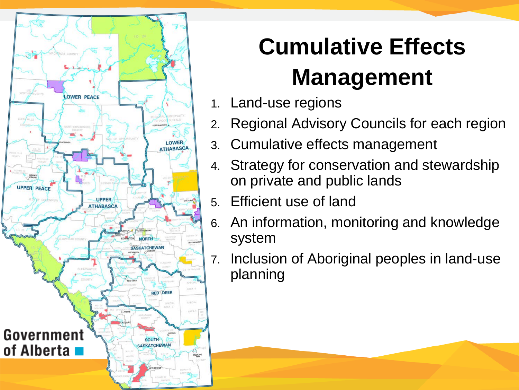

#### **Cumulative Effects Management**

- 1. Land-use regions
- 2. Regional Advisory Councils for each region
- 3. Cumulative effects management
- 4. Strategy for conservation and stewardship on private and public lands
- 5. Efficient use of land
- 6. An information, monitoring and knowledge system
- 7. Inclusion of Aboriginal peoples in land-use planning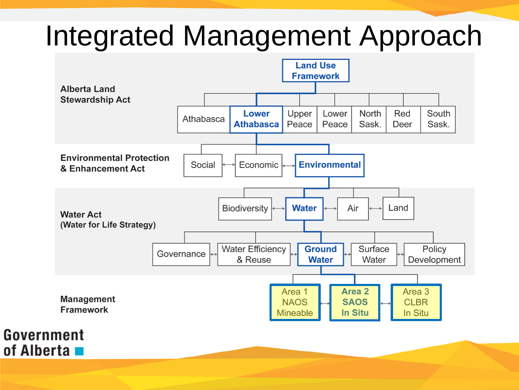#### Integrated Management Approach

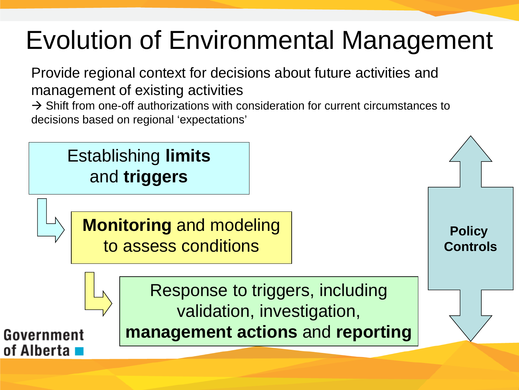#### Evolution of Environmental Management

Provide regional context for decisions about future activities and management of existing activities

 $\rightarrow$  Shift from one-off authorizations with consideration for current circumstances to decisions based on regional 'expectations'

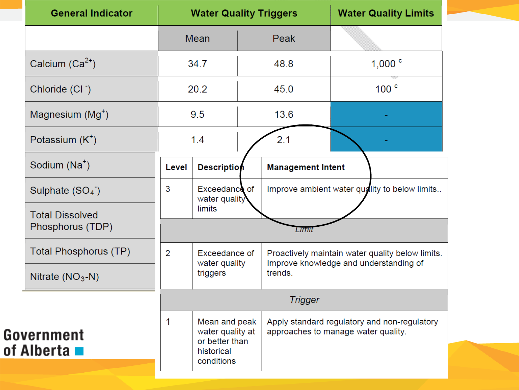| <b>Mean</b><br>Peak<br>Calcium $(Ca^{2+})$<br>48.8<br>34.7<br>20.2<br>45.0<br>Chloride (CI <sup>-</sup> )<br>Magnesium (Mg <sup>+</sup> )<br>13.6<br>9.5<br>Potassium $(K^+)$<br>1.4<br>2.1<br>Sodium (Na <sup>+</sup> )<br><b>Description</b><br>Level<br><b>Management Intent</b><br>3<br>Exceedance of<br>Sulphate $(SO4)$<br>water quality | <b>Water Quality Limits</b>                                                         |
|------------------------------------------------------------------------------------------------------------------------------------------------------------------------------------------------------------------------------------------------------------------------------------------------------------------------------------------------|-------------------------------------------------------------------------------------|
|                                                                                                                                                                                                                                                                                                                                                |                                                                                     |
|                                                                                                                                                                                                                                                                                                                                                | 1,000 $^{\circ}$                                                                    |
|                                                                                                                                                                                                                                                                                                                                                | 100 <sup>c</sup>                                                                    |
|                                                                                                                                                                                                                                                                                                                                                |                                                                                     |
|                                                                                                                                                                                                                                                                                                                                                |                                                                                     |
|                                                                                                                                                                                                                                                                                                                                                |                                                                                     |
|                                                                                                                                                                                                                                                                                                                                                | Improve ambient water quality to below limits                                       |
| limits<br><b>Total Dissolved</b><br>Phosphorus (TDP)<br>Lımı                                                                                                                                                                                                                                                                                   |                                                                                     |
| Total Phosphorus (TP)<br>$\overline{2}$<br>Exceedance of<br>water quality                                                                                                                                                                                                                                                                      | Proactively maintain water quality below limits.                                    |
| trends.<br>triggers<br>Nitrate $(NO3-N)$                                                                                                                                                                                                                                                                                                       | Improve knowledge and understanding of                                              |
| <b>Trigger</b>                                                                                                                                                                                                                                                                                                                                 |                                                                                     |
| 1<br>Mean and peak<br>water quality at<br>Government<br>or better than<br>of Alberta <b>La</b><br>historical<br>conditions                                                                                                                                                                                                                     | Apply standard regulatory and non-regulatory<br>approaches to manage water quality. |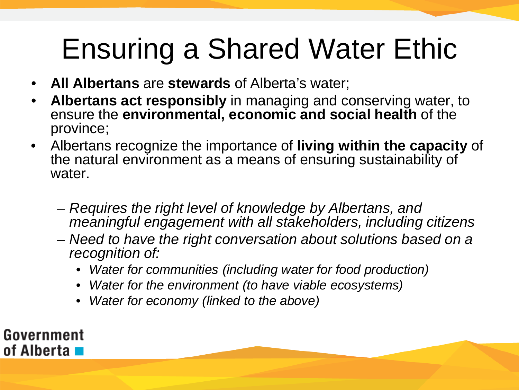# Ensuring a Shared Water Ethic

- **All Albertans** are **stewards** of Alberta's water;
- **Albertans act responsibly** in managing and conserving water, to ensure the **environmental, economic and social health** of the province;
- Albertans recognize the importance of **living within the capacity** of the natural environment as a means of ensuring sustainability of water.
	- *Requires the right level of knowledge by Albertans, and meaningful engagement with all stakeholders, including citizens*
	- *Need to have the right conversation about solutions based on a recognition of:*
		- *Water for communities (including water for food production)*
		- *Water for the environment (to have viable ecosystems)*
		- *Water for economy (linked to the above)*

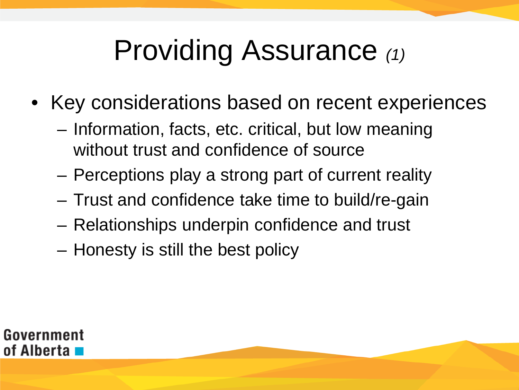# Providing Assurance *(1)*

- Key considerations based on recent experiences
	- Information, facts, etc. critical, but low meaning without trust and confidence of source
	- Perceptions play a strong part of current reality
	- Trust and confidence take time to build/re-gain
	- Relationships underpin confidence and trust
	- Honesty is still the best policy

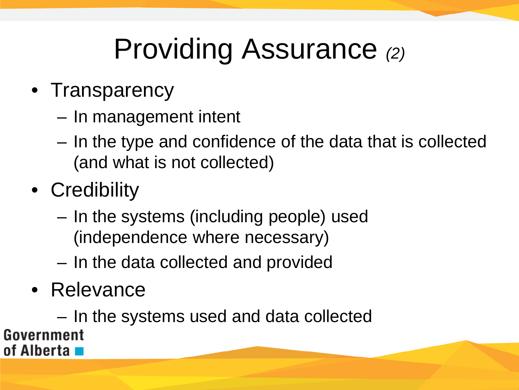# Providing Assurance *(2)*

#### • Transparency

- In management intent
- In the type and confidence of the data that is collected (and what is not collected)
- Credibility
	- In the systems (including people) used (independence where necessary)
	- In the data collected and provided
- Relevance

– In the systems used and data collectedGovernment of Alberta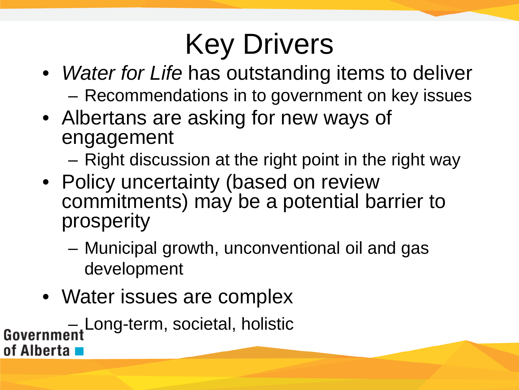# Key Drivers

- *Water for Life* has outstanding items to deliver – Recommendations in to government on key issues
- Albertans are asking for new ways of engagement
	- Right discussion at the right point in the right way
- Policy uncertainty (based on review commitments) may be a potential barrier to prosperity
	- Municipal growth, unconventional oil and gas development
- Water issues are complex

– Long-term, societal, holistic of Alberta **I**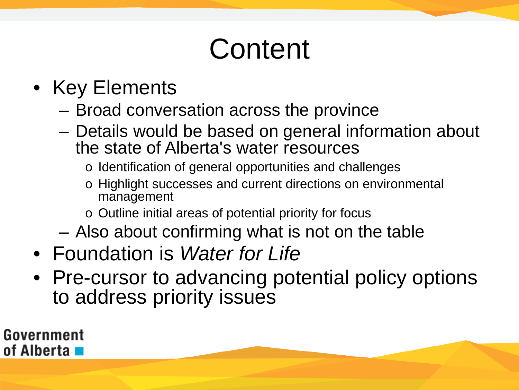# **Content**

- Key Elements
	- Broad conversation across the province
	- Details would be based on general information about the state of Alberta's water resources
		- o Identification of general opportunities and challenges
		- o Highlight successes and current directions on environmental management
		- o Outline initial areas of potential priority for focus
	- Also about confirming what is not on the table
- Foundation is *Water for Life*
- Pre-cursor to advancing potential policy options to address priority issues

Government of Alberta **La**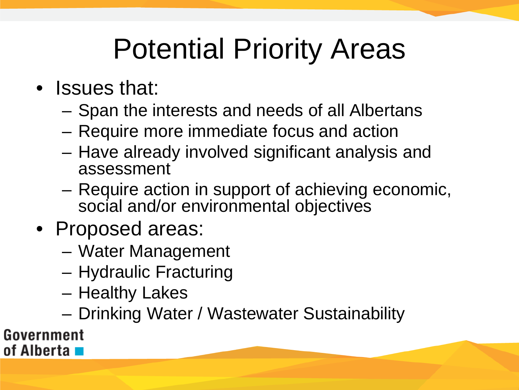# Potential Priority Areas

- Issues that:
	- Span the interests and needs of all Albertans
	- Require more immediate focus and action
	- Have already involved significant analysis and assessment
	- Require action in support of achieving economic, social and/or environmental objectives
- Proposed areas:
	- Water Management
	- Hydraulic Fracturing
	- Healthy Lakes
	- Drinking Water / Wastewater Sustainability

Government of Alberta **L**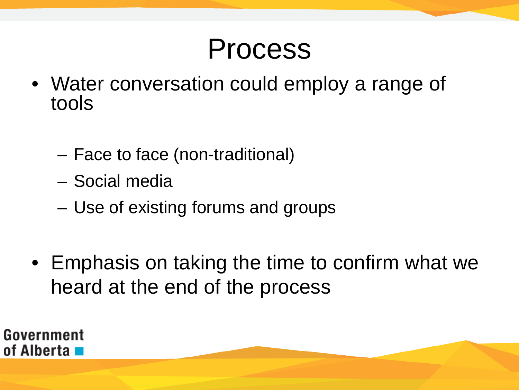#### Process

- Water conversation could employ a range of tools
	- Face to face (non-traditional)
	- Social media
	- Use of existing forums and groups
- Emphasis on taking the time to confirm what we heard at the end of the process

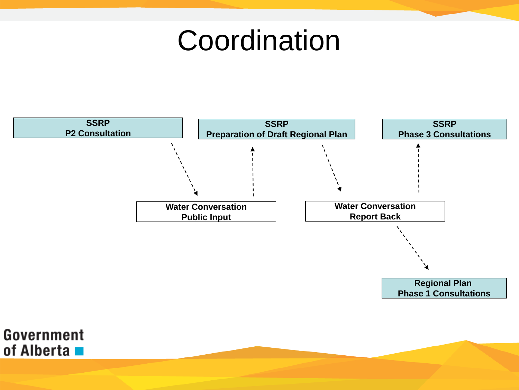#### **Coordination**





**Regional Plan Phase 1 Consultations**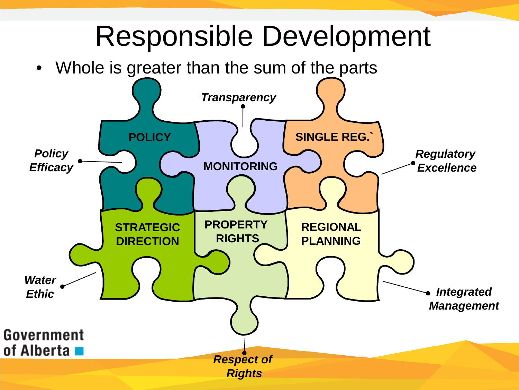#### Responsible Development